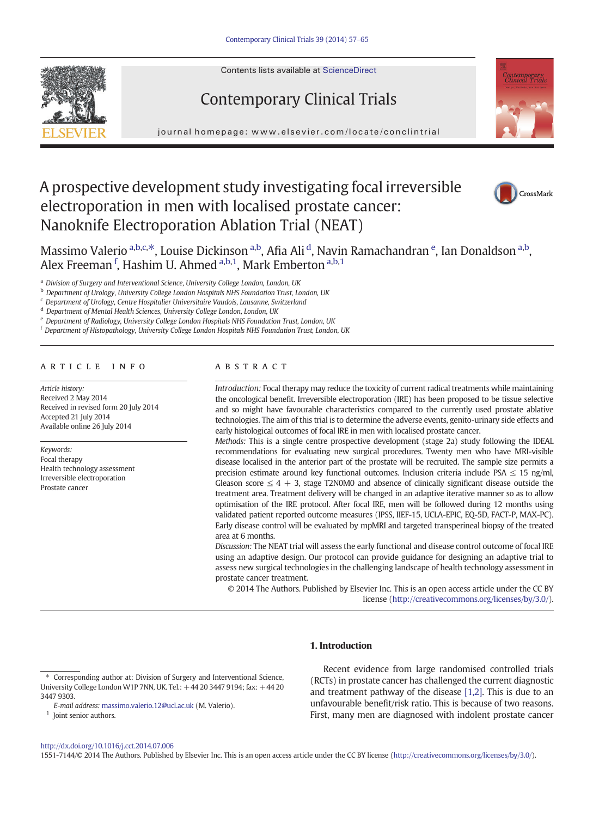Contents lists available at ScienceDirect

# Contemporary Clinical Trials



journal homepage: www.elsevier.com/locate/conclintrial journal homepage: www.elsevier.com/locate/concline/concline/concline/concline/concline/concline/concline/concline/concline/concline/concline/concline/concline/concline/concline/concline/concline/concline/concline/concline

# A prospective development study investigating focal irreversible electroporation in men with localised prostate cancer: Nanoknife Electroporation Ablation Trial (NEAT)



Massimo Valerio <sup>a,b,c,\*</sup>, Louise Dickinson <sup>a,b</sup>, Afia Ali <sup>d</sup>, Navin Ramachandran <sup>e</sup>, Ian Donaldson <sup>a,b</sup>, Alex Freeman <sup>f</sup>, Hashim U. Ahmed <sup>a,b,1</sup>, Mark Emberton <sup>a,b,1</sup>

<sup>a</sup> Division of Surgery and Interventional Science, University College London, London, UK

**b** Department of Urology, University College London Hospitals NHS Foundation Trust, London, UK

<sup>c</sup> Department of Urology, Centre Hospitalier Universitaire Vaudois, Lausanne, Switzerland

<sup>d</sup> Department of Mental Health Sciences, University College London, London, UK

e Department of Radiology, University College London Hospitals NHS Foundation Trust, London, UK

<sup>f</sup> Department of Histopathology, University College London Hospitals NHS Foundation Trust, London, UK

# article info abstract

Article history: Received 2 May 2014 Received in revised form 20 July 2014 Accepted 21 July 2014 Available online 26 July 2014

Keywords: Focal therapy Health technology assessment Irreversible electroporation Prostate cancer

Introduction: Focal therapy may reduce the toxicity of current radical treatments while maintaining the oncological benefit. Irreversible electroporation (IRE) has been proposed to be tissue selective and so might have favourable characteristics compared to the currently used prostate ablative technologies. The aim of this trial is to determine the adverse events, genito-urinary side effects and early histological outcomes of focal IRE in men with localised prostate cancer.

Methods: This is a single centre prospective development (stage 2a) study following the IDEAL recommendations for evaluating new surgical procedures. Twenty men who have MRI-visible disease localised in the anterior part of the prostate will be recruited. The sample size permits a precision estimate around key functional outcomes. Inclusion criteria include PSA  $\leq$  15 ng/ml, Gleason score  $\leq$  4 + 3, stage T2N0M0 and absence of clinically significant disease outside the treatment area. Treatment delivery will be changed in an adaptive iterative manner so as to allow optimisation of the IRE protocol. After focal IRE, men will be followed during 12 months using validated patient reported outcome measures (IPSS, IIEF-15, UCLA-EPIC, EQ-5D, FACT-P, MAX-PC). Early disease control will be evaluated by mpMRI and targeted transperineal biopsy of the treated area at 6 months.

Discussion: The NEAT trial will assess the early functional and disease control outcome of focal IRE using an adaptive design. Our protocol can provide guidance for designing an adaptive trial to assess new surgical technologies in the challenging landscape of health technology assessment in prostate cancer treatment.

© 2014 The Authors. Published by Elsevier Inc. This is an open access article under the CC BY license (http://creativecommons.org/licenses/by/3.0/).

# 1. Introduction

E-mail address: [massimo.valerio.12@ucl.ac.uk](mailto:massimo.valerio.12@ucl.ac.uk) (M. Valerio).  $<sup>1</sup>$  Joint senior authors.</sup>

Recent evidence from large randomised controlled trials (RCTs) in prostate cancer has challenged the current diagnostic and treatment pathway of the disease [\[1,2\]](#page-7-0). This is due to an unfavourable benefit/risk ratio. This is because of two reasons. First, many men are diagnosed with indolent prostate cancer

1551-7144/© 2014 The Authors. Published by Elsevier Inc. This is an open access article under the CC BY license (http://creativecommons.org/licenses/by/3.0/).

<sup>⁎</sup> Corresponding author at: Division of Surgery and Interventional Science, University College London W1P 7NN, UK. Tel.: +44 20 3447 9194; fax: +44 20 3447 9303.

<http://dx.doi.org/10.1016/j.cct.2014.07.006>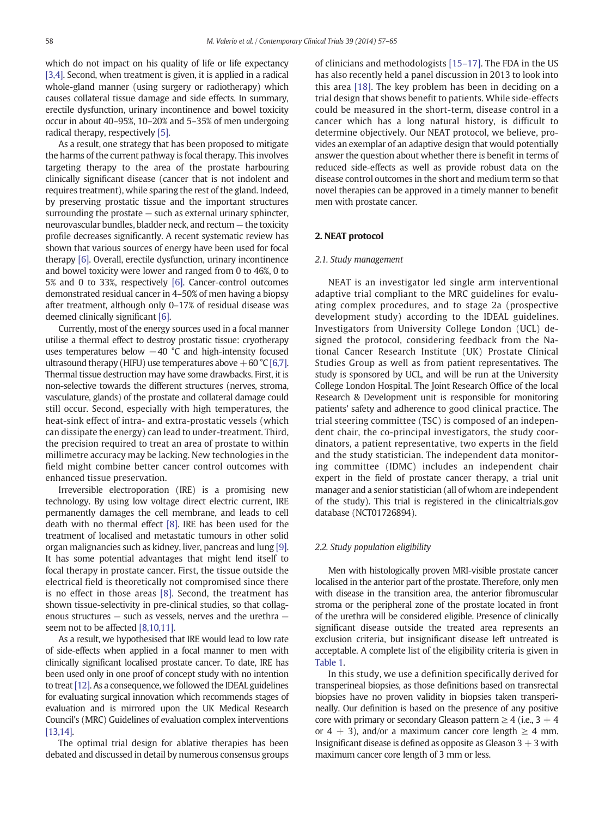which do not impact on his quality of life or life expectancy [\[3,4\]](#page-7-0). Second, when treatment is given, it is applied in a radical whole-gland manner (using surgery or radiotherapy) which causes collateral tissue damage and side effects. In summary, erectile dysfunction, urinary incontinence and bowel toxicity occur in about 40–95%, 10–20% and 5–35% of men undergoing radical therapy, respectively [\[5\].](#page-7-0)

As a result, one strategy that has been proposed to mitigate the harms of the current pathway is focal therapy. This involves targeting therapy to the area of the prostate harbouring clinically significant disease (cancer that is not indolent and requires treatment), while sparing the rest of the gland. Indeed, by preserving prostatic tissue and the important structures surrounding the prostate — such as external urinary sphincter, neurovascular bundles, bladder neck, and rectum — the toxicity profile decreases significantly. A recent systematic review has shown that various sources of energy have been used for focal therapy [\[6\].](#page-7-0) Overall, erectile dysfunction, urinary incontinence and bowel toxicity were lower and ranged from 0 to 46%, 0 to 5% and 0 to 33%, respectively [\[6\]](#page-7-0). Cancer-control outcomes demonstrated residual cancer in 4–50% of men having a biopsy after treatment, although only 0–17% of residual disease was deemed clinically significant [\[6\].](#page-7-0)

Currently, most of the energy sources used in a focal manner utilise a thermal effect to destroy prostatic tissue: cryotherapy uses temperatures below  $-40$  °C and high-intensity focused ultrasound therapy (HIFU) use temperatures above  $+60$  °C [\[6,7\].](#page-7-0) Thermal tissue destruction may have some drawbacks. First, it is non-selective towards the different structures (nerves, stroma, vasculature, glands) of the prostate and collateral damage could still occur. Second, especially with high temperatures, the heat-sink effect of intra- and extra-prostatic vessels (which can dissipate the energy) can lead to under-treatment. Third, the precision required to treat an area of prostate to within millimetre accuracy may be lacking. New technologies in the field might combine better cancer control outcomes with enhanced tissue preservation.

Irreversible electroporation (IRE) is a promising new technology. By using low voltage direct electric current, IRE permanently damages the cell membrane, and leads to cell death with no thermal effect [\[8\]](#page-7-0). IRE has been used for the treatment of localised and metastatic tumours in other solid organ malignancies such as kidney, liver, pancreas and lung [\[9\].](#page-7-0) It has some potential advantages that might lend itself to focal therapy in prostate cancer. First, the tissue outside the electrical field is theoretically not compromised since there is no effect in those areas [\[8\]](#page-7-0). Second, the treatment has shown tissue-selectivity in pre-clinical studies, so that collagenous structures — such as vessels, nerves and the urethra seem not to be affected [\[8,10,11\].](#page-7-0)

As a result, we hypothesised that IRE would lead to low rate of side-effects when applied in a focal manner to men with clinically significant localised prostate cancer. To date, IRE has been used only in one proof of concept study with no intention to treat [\[12\].](#page-7-0) As a consequence, we followed the IDEAL guidelines for evaluating surgical innovation which recommends stages of evaluation and is mirrored upon the UK Medical Research Council's (MRC) Guidelines of evaluation complex interventions [\[13,14\].](#page-7-0)

The optimal trial design for ablative therapies has been debated and discussed in detail by numerous consensus groups of clinicians and methodologists [15–[17\].](#page-7-0) The FDA in the US has also recently held a panel discussion in 2013 to look into this area [\[18\]](#page-7-0). The key problem has been in deciding on a trial design that shows benefit to patients. While side-effects could be measured in the short-term, disease control in a cancer which has a long natural history, is difficult to determine objectively. Our NEAT protocol, we believe, provides an exemplar of an adaptive design that would potentially answer the question about whether there is benefit in terms of reduced side-effects as well as provide robust data on the disease control outcomes in the short and medium term so that novel therapies can be approved in a timely manner to benefit men with prostate cancer.

#### 2. NEAT protocol

#### 2.1. Study management

NEAT is an investigator led single arm interventional adaptive trial compliant to the MRC guidelines for evaluating complex procedures, and to stage 2a (prospective development study) according to the IDEAL guidelines. Investigators from University College London (UCL) designed the protocol, considering feedback from the National Cancer Research Institute (UK) Prostate Clinical Studies Group as well as from patient representatives. The study is sponsored by UCL, and will be run at the University College London Hospital. The Joint Research Office of the local Research & Development unit is responsible for monitoring patients' safety and adherence to good clinical practice. The trial steering committee (TSC) is composed of an independent chair, the co-principal investigators, the study coordinators, a patient representative, two experts in the field and the study statistician. The independent data monitoring committee (IDMC) includes an independent chair expert in the field of prostate cancer therapy, a trial unit manager and a senior statistician (all of whom are independent of the study). This trial is registered in the clinicaltrials.gov database (NCT01726894).

#### 2.2. Study population eligibility

Men with histologically proven MRI-visible prostate cancer localised in the anterior part of the prostate. Therefore, only men with disease in the transition area, the anterior fibromuscular stroma or the peripheral zone of the prostate located in front of the urethra will be considered eligible. Presence of clinically significant disease outside the treated area represents an exclusion criteria, but insignificant disease left untreated is acceptable. A complete list of the eligibility criteria is given in [Table 1.](#page-2-0)

In this study, we use a definition specifically derived for transperineal biopsies, as those definitions based on transrectal biopsies have no proven validity in biopsies taken transperineally. Our definition is based on the presence of any positive core with primary or secondary Gleason pattern  $\geq 4$  (i.e., 3 + 4) or  $4 + 3$ ), and/or a maximum cancer core length  $\geq 4$  mm. Insignificant disease is defined as opposite as Gleason  $3 + 3$  with maximum cancer core length of 3 mm or less.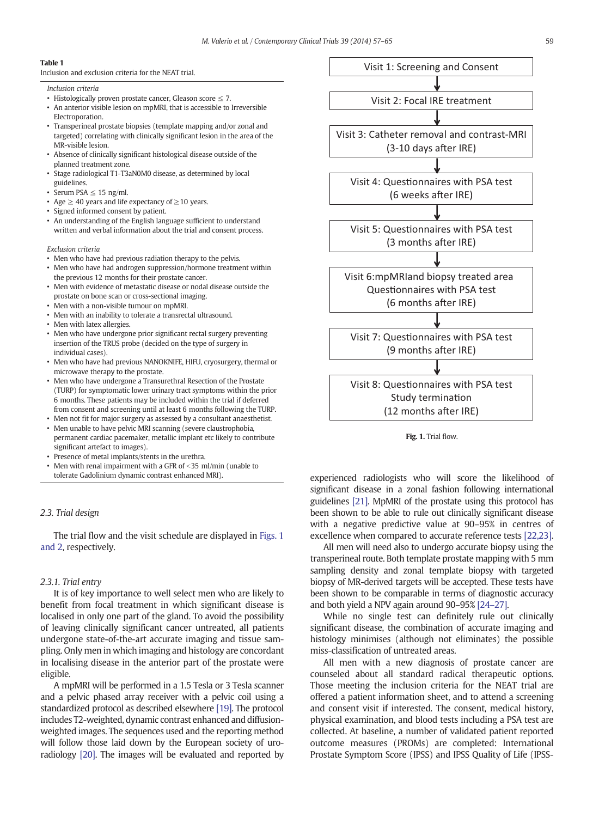## <span id="page-2-0"></span>Table 1

Inclusion and exclusion criteria for the NEAT trial.

- Inclusion criteria
- Histologically proven prostate cancer, Gleason score  $\leq 7$ .
- An anterior visible lesion on mpMRI, that is accessible to Irreversible Electroporation.
- Transperineal prostate biopsies (template mapping and/or zonal and targeted) correlating with clinically significant lesion in the area of the MR-visible lesion.
- Absence of clinically significant histological disease outside of the planned treatment zone.
- Stage radiological T1-T3aN0M0 disease, as determined by local guidelines.
- Serum PSA  $\leq$  15 ng/ml.
- Age  $\geq$  40 years and life expectancy of  $\geq$  10 years.
- Signed informed consent by patient.
- An understanding of the English language sufficient to understand written and verbal information about the trial and consent process.

Exclusion criteria

- Men who have had previous radiation therapy to the pelvis.
- Men who have had androgen suppression/hormone treatment within the previous 12 months for their prostate cancer.
- Men with evidence of metastatic disease or nodal disease outside the prostate on bone scan or cross-sectional imaging.
- Men with a non-visible tumour on mpMRI.
- Men with an inability to tolerate a transrectal ultrasound.
- Men with latex allergies.
- Men who have undergone prior significant rectal surgery preventing insertion of the TRUS probe (decided on the type of surgery in individual cases).
- Men who have had previous NANOKNIFE, HIFU, cryosurgery, thermal or microwave therapy to the prostate.
- Men who have undergone a Transurethral Resection of the Prostate (TURP) for symptomatic lower urinary tract symptoms within the prior 6 months. These patients may be included within the trial if deferred from consent and screening until at least 6 months following the TURP.
- Men not fit for major surgery as assessed by a consultant anaesthetist.
- Men unable to have pelvic MRI scanning (severe claustrophobia, permanent cardiac pacemaker, metallic implant etc likely to contribute significant artefact to images).
- Presence of metal implants/stents in the urethra.
- Men with renal impairment with a GFR of  $<$  35 ml/min (unable to tolerate Gadolinium dynamic contrast enhanced MRI).

### 2.3. Trial design

The trial flow and the visit schedule are displayed in Figs. 1 and 2, respectively.

#### 2.3.1. Trial entry

It is of key importance to well select men who are likely to benefit from focal treatment in which significant disease is localised in only one part of the gland. To avoid the possibility of leaving clinically significant cancer untreated, all patients undergone state-of-the-art accurate imaging and tissue sampling. Only men in which imaging and histology are concordant in localising disease in the anterior part of the prostate were eligible.

A mpMRI will be performed in a 1.5 Tesla or 3 Tesla scanner and a pelvic phased array receiver with a pelvic coil using a standardized protocol as described elsewhere [\[19\].](#page-7-0) The protocol includes T2-weighted, dynamic contrast enhanced and diffusionweighted images. The sequences used and the reporting method will follow those laid down by the European society of uroradiology [\[20\].](#page-7-0) The images will be evaluated and reported by





experienced radiologists who will score the likelihood of significant disease in a zonal fashion following international guidelines [\[21\]](#page-7-0). MpMRI of the prostate using this protocol has been shown to be able to rule out clinically significant disease with a negative predictive value at 90–95% in centres of excellence when compared to accurate reference tests [\[22,23\]](#page-7-0).

All men will need also to undergo accurate biopsy using the transperineal route. Both template prostate mapping with 5 mm sampling density and zonal template biopsy with targeted biopsy of MR-derived targets will be accepted. These tests have been shown to be comparable in terms of diagnostic accuracy and both yield a NPV again around 90–95% [24–[27\].](#page-7-0)

While no single test can definitely rule out clinically significant disease, the combination of accurate imaging and histology minimises (although not eliminates) the possible miss-classification of untreated areas.

All men with a new diagnosis of prostate cancer are counseled about all standard radical therapeutic options. Those meeting the inclusion criteria for the NEAT trial are offered a patient information sheet, and to attend a screening and consent visit if interested. The consent, medical history, physical examination, and blood tests including a PSA test are collected. At baseline, a number of validated patient reported outcome measures (PROMs) are completed: International Prostate Symptom Score (IPSS) and IPSS Quality of Life (IPSS-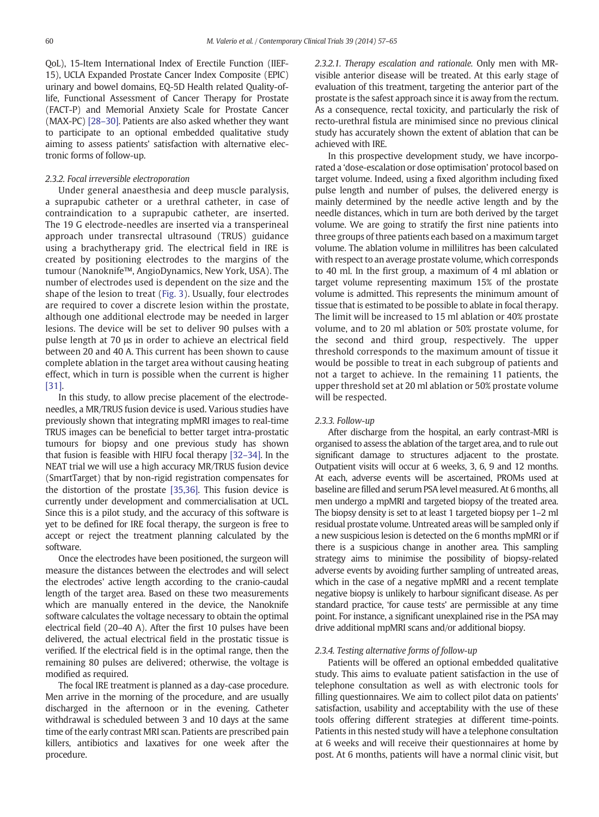QoL), 15-Item International Index of Erectile Function (IIEF-15), UCLA Expanded Prostate Cancer Index Composite (EPIC) urinary and bowel domains, EQ-5D Health related Quality-oflife, Functional Assessment of Cancer Therapy for Prostate (FACT-P) and Memorial Anxiety Scale for Prostate Cancer (MAX-PC) [28–[30\].](#page-7-0) Patients are also asked whether they want to participate to an optional embedded qualitative study aiming to assess patients' satisfaction with alternative electronic forms of follow-up.

#### 2.3.2. Focal irreversible electroporation

Under general anaesthesia and deep muscle paralysis, a suprapubic catheter or a urethral catheter, in case of contraindication to a suprapubic catheter, are inserted. The 19 G electrode-needles are inserted via a transperineal approach under transrectal ultrasound (TRUS) guidance using a brachytherapy grid. The electrical field in IRE is created by positioning electrodes to the margins of the tumour (Nanoknife™, AngioDynamics, New York, USA). The number of electrodes used is dependent on the size and the shape of the lesion to treat [\(Fig. 3](#page-4-0)). Usually, four electrodes are required to cover a discrete lesion within the prostate, although one additional electrode may be needed in larger lesions. The device will be set to deliver 90 pulses with a pulse length at 70 μs in order to achieve an electrical field between 20 and 40 A. This current has been shown to cause complete ablation in the target area without causing heating effect, which in turn is possible when the current is higher [\[31\]](#page-7-0).

In this study, to allow precise placement of the electrodeneedles, a MR/TRUS fusion device is used. Various studies have previously shown that integrating mpMRI images to real-time TRUS images can be beneficial to better target intra-prostatic tumours for biopsy and one previous study has shown that fusion is feasible with HIFU focal therapy [32–[34\].](#page-7-0) In the NEAT trial we will use a high accuracy MR/TRUS fusion device (SmartTarget) that by non-rigid registration compensates for the distortion of the prostate [\[35,36\].](#page-7-0) This fusion device is currently under development and commercialisation at UCL. Since this is a pilot study, and the accuracy of this software is yet to be defined for IRE focal therapy, the surgeon is free to accept or reject the treatment planning calculated by the software.

Once the electrodes have been positioned, the surgeon will measure the distances between the electrodes and will select the electrodes' active length according to the cranio-caudal length of the target area. Based on these two measurements which are manually entered in the device, the Nanoknife software calculates the voltage necessary to obtain the optimal electrical field (20–40 A). After the first 10 pulses have been delivered, the actual electrical field in the prostatic tissue is verified. If the electrical field is in the optimal range, then the remaining 80 pulses are delivered; otherwise, the voltage is modified as required.

The focal IRE treatment is planned as a day-case procedure. Men arrive in the morning of the procedure, and are usually discharged in the afternoon or in the evening. Catheter withdrawal is scheduled between 3 and 10 days at the same time of the early contrast MRI scan. Patients are prescribed pain killers, antibiotics and laxatives for one week after the procedure.

2.3.2.1. Therapy escalation and rationale. Only men with MRvisible anterior disease will be treated. At this early stage of evaluation of this treatment, targeting the anterior part of the prostate is the safest approach since it is away from the rectum. As a consequence, rectal toxicity, and particularly the risk of recto-urethral fistula are minimised since no previous clinical study has accurately shown the extent of ablation that can be achieved with IRE.

In this prospective development study, we have incorporated a 'dose-escalation or dose optimisation' protocol based on target volume. Indeed, using a fixed algorithm including fixed pulse length and number of pulses, the delivered energy is mainly determined by the needle active length and by the needle distances, which in turn are both derived by the target volume. We are going to stratify the first nine patients into three groups of three patients each based on a maximum target volume. The ablation volume in millilitres has been calculated with respect to an average prostate volume, which corresponds to 40 ml. In the first group, a maximum of 4 ml ablation or target volume representing maximum 15% of the prostate volume is admitted. This represents the minimum amount of tissue that is estimated to be possible to ablate in focal therapy. The limit will be increased to 15 ml ablation or 40% prostate volume, and to 20 ml ablation or 50% prostate volume, for the second and third group, respectively. The upper threshold corresponds to the maximum amount of tissue it would be possible to treat in each subgroup of patients and not a target to achieve. In the remaining 11 patients, the upper threshold set at 20 ml ablation or 50% prostate volume will be respected.

#### 2.3.3. Follow-up

After discharge from the hospital, an early contrast-MRI is organised to assess the ablation of the target area, and to rule out significant damage to structures adjacent to the prostate. Outpatient visits will occur at 6 weeks, 3, 6, 9 and 12 months. At each, adverse events will be ascertained, PROMs used at baseline are filled and serum PSA level measured. At 6 months, all men undergo a mpMRI and targeted biopsy of the treated area. The biopsy density is set to at least 1 targeted biopsy per 1–2 ml residual prostate volume. Untreated areas will be sampled only if a new suspicious lesion is detected on the 6 months mpMRI or if there is a suspicious change in another area. This sampling strategy aims to minimise the possibility of biopsy-related adverse events by avoiding further sampling of untreated areas, which in the case of a negative mpMRI and a recent template negative biopsy is unlikely to harbour significant disease. As per standard practice, 'for cause tests' are permissible at any time point. For instance, a significant unexplained rise in the PSA may drive additional mpMRI scans and/or additional biopsy.

#### 2.3.4. Testing alternative forms of follow-up

Patients will be offered an optional embedded qualitative study. This aims to evaluate patient satisfaction in the use of telephone consultation as well as with electronic tools for filling questionnaires. We aim to collect pilot data on patients' satisfaction, usability and acceptability with the use of these tools offering different strategies at different time-points. Patients in this nested study will have a telephone consultation at 6 weeks and will receive their questionnaires at home by post. At 6 months, patients will have a normal clinic visit, but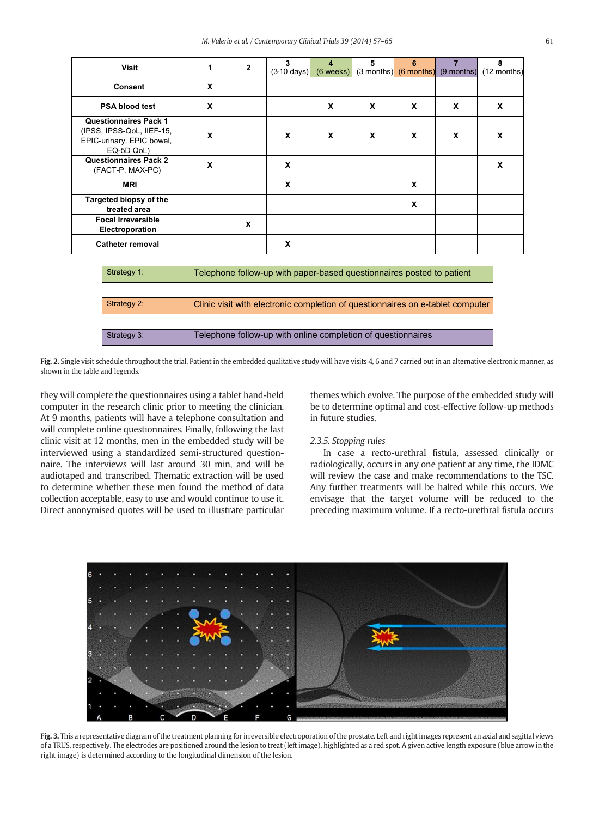<span id="page-4-0"></span>

| <b>Visit</b>                                                                                         |                                                                                      | 1                                                                              | $\overline{2}$ | 3<br>$(3-10 \text{ days})$ | $\overline{\mathbf{A}}$<br>(6 weeks) | 5<br>$(3$ months) | 6<br>(6 months) | $\overline{7}$<br>$(9$ months) | 8<br>(12 months) |
|------------------------------------------------------------------------------------------------------|--------------------------------------------------------------------------------------|--------------------------------------------------------------------------------|----------------|----------------------------|--------------------------------------|-------------------|-----------------|--------------------------------|------------------|
| Consent                                                                                              |                                                                                      | x                                                                              |                |                            |                                      |                   |                 |                                |                  |
|                                                                                                      | <b>PSA blood test</b>                                                                | x                                                                              |                |                            | X                                    | x                 | x               | x                              | X                |
| <b>Questionnaires Pack 1</b><br>(IPSS, IPSS-QoL, IIEF-15,<br>EPIC-urinary, EPIC bowel,<br>EQ-5D QoL) |                                                                                      | X                                                                              |                | X                          | X                                    | x                 | x               | x                              | x                |
| <b>Questionnaires Pack 2</b><br>(FACT-P, MAX-PC)                                                     |                                                                                      | X                                                                              |                | X                          |                                      |                   |                 |                                | X                |
| <b>MRI</b>                                                                                           |                                                                                      |                                                                                |                | x                          |                                      |                   | X               |                                |                  |
| Targeted biopsy of the<br>treated area                                                               |                                                                                      |                                                                                |                |                            |                                      |                   | X               |                                |                  |
| <b>Focal Irreversible</b><br>Electroporation                                                         |                                                                                      |                                                                                | x              |                            |                                      |                   |                 |                                |                  |
| <b>Catheter removal</b>                                                                              |                                                                                      |                                                                                |                | X                          |                                      |                   |                 |                                |                  |
|                                                                                                      | Strategy 1:<br>Telephone follow-up with paper-based questionnaires posted to patient |                                                                                |                |                            |                                      |                   |                 |                                |                  |
|                                                                                                      | Strategy 2:                                                                          | Clinic visit with electronic completion of questionnaires on e-tablet computer |                |                            |                                      |                   |                 |                                |                  |
|                                                                                                      | Telephone follow-up with online completion of questionnaires<br>Strategy 3:          |                                                                                |                |                            |                                      |                   |                 |                                |                  |

Fig. 2. Single visit schedule throughout the trial. Patient in the embedded qualitative study will have visits 4, 6 and 7 carried out in an alternative electronic manner, as shown in the table and legends.

they will complete the questionnaires using a tablet hand-held computer in the research clinic prior to meeting the clinician. At 9 months, patients will have a telephone consultation and will complete online questionnaires. Finally, following the last clinic visit at 12 months, men in the embedded study will be interviewed using a standardized semi-structured questionnaire. The interviews will last around 30 min, and will be audiotaped and transcribed. Thematic extraction will be used to determine whether these men found the method of data collection acceptable, easy to use and would continue to use it. Direct anonymised quotes will be used to illustrate particular

themes which evolve. The purpose of the embedded study will be to determine optimal and cost-effective follow-up methods in future studies.

#### 2.3.5. Stopping rules

In case a recto-urethral fistula, assessed clinically or radiologically, occurs in any one patient at any time, the IDMC will review the case and make recommendations to the TSC. Any further treatments will be halted while this occurs. We envisage that the target volume will be reduced to the preceding maximum volume. If a recto-urethral fistula occurs



Fig. 3. This a representative diagram of the treatment planning for irreversible electroporation of the prostate. Left and right images represent an axial and sagittal views of a TRUS, respectively. The electrodes are positioned around the lesion to treat (left image), highlighted as a red spot. A given active length exposure (blue arrow in the right image) is determined according to the longitudinal dimension of the lesion.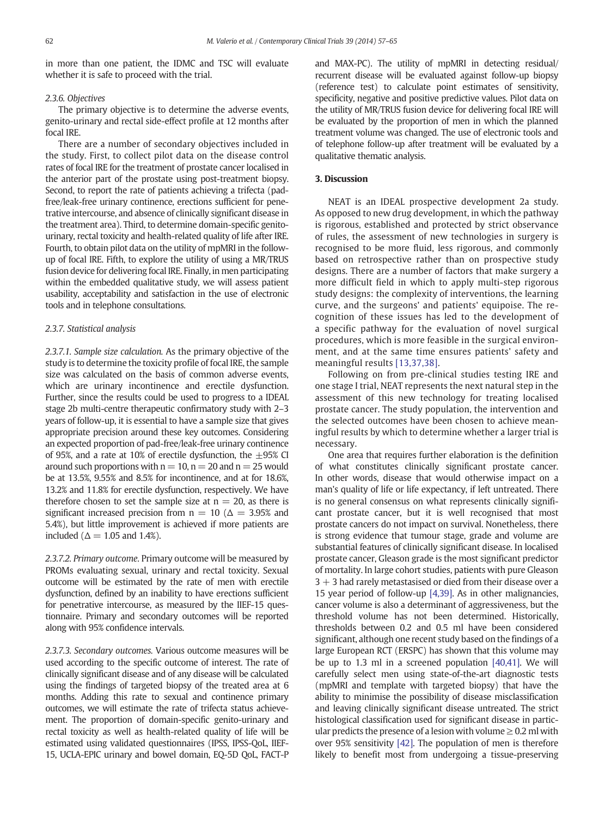in more than one patient, the IDMC and TSC will evaluate whether it is safe to proceed with the trial.

# 2.3.6. Objectives

The primary objective is to determine the adverse events, genito-urinary and rectal side-effect profile at 12 months after focal IRE.

There are a number of secondary objectives included in the study. First, to collect pilot data on the disease control rates of focal IRE for the treatment of prostate cancer localised in the anterior part of the prostate using post-treatment biopsy. Second, to report the rate of patients achieving a trifecta (padfree/leak-free urinary continence, erections sufficient for penetrative intercourse, and absence of clinically significant disease in the treatment area). Third, to determine domain-specific genitourinary, rectal toxicity and health-related quality of life after IRE. Fourth, to obtain pilot data on the utility of mpMRI in the followup of focal IRE. Fifth, to explore the utility of using a MR/TRUS fusion device for delivering focal IRE. Finally, in men participating within the embedded qualitative study, we will assess patient usability, acceptability and satisfaction in the use of electronic tools and in telephone consultations.

#### 2.3.7. Statistical analysis

2.3.7.1. Sample size calculation. As the primary objective of the study is to determine the toxicity profile of focal IRE, the sample size was calculated on the basis of common adverse events, which are urinary incontinence and erectile dysfunction. Further, since the results could be used to progress to a IDEAL stage 2b multi-centre therapeutic confirmatory study with 2–3 years of follow-up, it is essential to have a sample size that gives appropriate precision around these key outcomes. Considering an expected proportion of pad-free/leak-free urinary continence of 95%, and a rate at 10% of erectile dysfunction, the  $\pm$ 95% CI around such proportions with  $n = 10$ ,  $n = 20$  and  $n = 25$  would be at 13.5%, 9.55% and 8.5% for incontinence, and at for 18.6%, 13.2% and 11.8% for erectile dysfunction, respectively. We have therefore chosen to set the sample size at  $n = 20$ , as there is significant increased precision from  $n = 10$  ( $\Delta = 3.95\%$  and 5.4%), but little improvement is achieved if more patients are included ( $\Delta = 1.05$  and 1.4%).

2.3.7.2. Primary outcome. Primary outcome will be measured by PROMs evaluating sexual, urinary and rectal toxicity. Sexual outcome will be estimated by the rate of men with erectile dysfunction, defined by an inability to have erections sufficient for penetrative intercourse, as measured by the IIEF-15 questionnaire. Primary and secondary outcomes will be reported along with 95% confidence intervals.

2.3.7.3. Secondary outcomes. Various outcome measures will be used according to the specific outcome of interest. The rate of clinically significant disease and of any disease will be calculated using the findings of targeted biopsy of the treated area at 6 months. Adding this rate to sexual and continence primary outcomes, we will estimate the rate of trifecta status achievement. The proportion of domain-specific genito-urinary and rectal toxicity as well as health-related quality of life will be estimated using validated questionnaires (IPSS, IPSS-QoL, IIEF-15, UCLA-EPIC urinary and bowel domain, EQ-5D QoL, FACT-P and MAX-PC). The utility of mpMRI in detecting residual/ recurrent disease will be evaluated against follow-up biopsy (reference test) to calculate point estimates of sensitivity, specificity, negative and positive predictive values. Pilot data on the utility of MR/TRUS fusion device for delivering focal IRE will be evaluated by the proportion of men in which the planned treatment volume was changed. The use of electronic tools and of telephone follow-up after treatment will be evaluated by a qualitative thematic analysis.

### 3. Discussion

NEAT is an IDEAL prospective development 2a study. As opposed to new drug development, in which the pathway is rigorous, established and protected by strict observance of rules, the assessment of new technologies in surgery is recognised to be more fluid, less rigorous, and commonly based on retrospective rather than on prospective study designs. There are a number of factors that make surgery a more difficult field in which to apply multi-step rigorous study designs: the complexity of interventions, the learning curve, and the surgeons' and patients' equipoise. The recognition of these issues has led to the development of a specific pathway for the evaluation of novel surgical procedures, which is more feasible in the surgical environment, and at the same time ensures patients' safety and meaningful results [\[13,37,38\].](#page-7-0)

Following on from pre-clinical studies testing IRE and one stage I trial, NEAT represents the next natural step in the assessment of this new technology for treating localised prostate cancer. The study population, the intervention and the selected outcomes have been chosen to achieve meaningful results by which to determine whether a larger trial is necessary.

One area that requires further elaboration is the definition of what constitutes clinically significant prostate cancer. In other words, disease that would otherwise impact on a man's quality of life or life expectancy, if left untreated. There is no general consensus on what represents clinically significant prostate cancer, but it is well recognised that most prostate cancers do not impact on survival. Nonetheless, there is strong evidence that tumour stage, grade and volume are substantial features of clinically significant disease. In localised prostate cancer, Gleason grade is the most significant predictor of mortality. In large cohort studies, patients with pure Gleason  $3 + 3$  had rarely metastasised or died from their disease over a 15 year period of follow-up [\[4,39\].](#page-7-0) As in other malignancies, cancer volume is also a determinant of aggressiveness, but the threshold volume has not been determined. Historically, thresholds between 0.2 and 0.5 ml have been considered significant, although one recent study based on the findings of a large European RCT (ERSPC) has shown that this volume may be up to 1.3 ml in a screened population [\[40,41\]](#page-8-0). We will carefully select men using state-of-the-art diagnostic tests (mpMRI and template with targeted biopsy) that have the ability to minimise the possibility of disease misclassification and leaving clinically significant disease untreated. The strict histological classification used for significant disease in particular predicts the presence of a lesion with volume  $\geq 0.2$  ml with over 95% sensitivity [\[42\]](#page-8-0). The population of men is therefore likely to benefit most from undergoing a tissue-preserving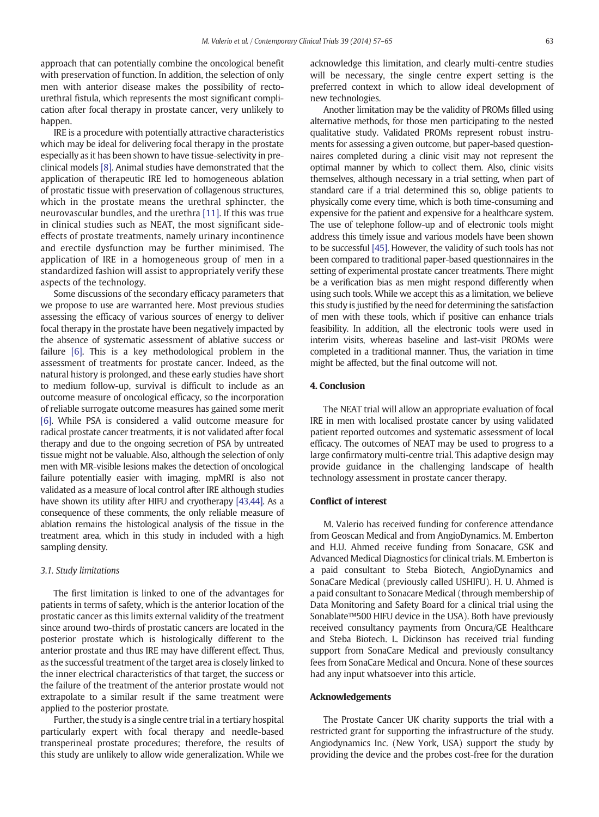approach that can potentially combine the oncological benefit with preservation of function. In addition, the selection of only men with anterior disease makes the possibility of rectourethral fistula, which represents the most significant complication after focal therapy in prostate cancer, very unlikely to happen.

IRE is a procedure with potentially attractive characteristics which may be ideal for delivering focal therapy in the prostate especially as it has been shown to have tissue-selectivity in preclinical models [\[8\]](#page-7-0). Animal studies have demonstrated that the application of therapeutic IRE led to homogeneous ablation of prostatic tissue with preservation of collagenous structures, which in the prostate means the urethral sphincter, the neurovascular bundles, and the urethra [\[11\]](#page-7-0). If this was true in clinical studies such as NEAT, the most significant sideeffects of prostate treatments, namely urinary incontinence and erectile dysfunction may be further minimised. The application of IRE in a homogeneous group of men in a standardized fashion will assist to appropriately verify these aspects of the technology.

Some discussions of the secondary efficacy parameters that we propose to use are warranted here. Most previous studies assessing the efficacy of various sources of energy to deliver focal therapy in the prostate have been negatively impacted by the absence of systematic assessment of ablative success or failure [\[6\].](#page-7-0) This is a key methodological problem in the assessment of treatments for prostate cancer. Indeed, as the natural history is prolonged, and these early studies have short to medium follow-up, survival is difficult to include as an outcome measure of oncological efficacy, so the incorporation of reliable surrogate outcome measures has gained some merit [\[6\].](#page-7-0) While PSA is considered a valid outcome measure for radical prostate cancer treatments, it is not validated after focal therapy and due to the ongoing secretion of PSA by untreated tissue might not be valuable. Also, although the selection of only men with MR-visible lesions makes the detection of oncological failure potentially easier with imaging, mpMRI is also not validated as a measure of local control after IRE although studies have shown its utility after HIFU and cryotherapy [\[43,44\].](#page-8-0) As a consequence of these comments, the only reliable measure of ablation remains the histological analysis of the tissue in the treatment area, which in this study in included with a high sampling density.

#### 3.1. Study limitations

The first limitation is linked to one of the advantages for patients in terms of safety, which is the anterior location of the prostatic cancer as this limits external validity of the treatment since around two-thirds of prostatic cancers are located in the posterior prostate which is histologically different to the anterior prostate and thus IRE may have different effect. Thus, as the successful treatment of the target area is closely linked to the inner electrical characteristics of that target, the success or the failure of the treatment of the anterior prostate would not extrapolate to a similar result if the same treatment were applied to the posterior prostate.

Further, the study is a single centre trial in a tertiary hospital particularly expert with focal therapy and needle-based transperineal prostate procedures; therefore, the results of this study are unlikely to allow wide generalization. While we

acknowledge this limitation, and clearly multi-centre studies will be necessary, the single centre expert setting is the preferred context in which to allow ideal development of new technologies.

Another limitation may be the validity of PROMs filled using alternative methods, for those men participating to the nested qualitative study. Validated PROMs represent robust instruments for assessing a given outcome, but paper-based questionnaires completed during a clinic visit may not represent the optimal manner by which to collect them. Also, clinic visits themselves, although necessary in a trial setting, when part of standard care if a trial determined this so, oblige patients to physically come every time, which is both time-consuming and expensive for the patient and expensive for a healthcare system. The use of telephone follow-up and of electronic tools might address this timely issue and various models have been shown to be successful [\[45\].](#page-8-0) However, the validity of such tools has not been compared to traditional paper-based questionnaires in the setting of experimental prostate cancer treatments. There might be a verification bias as men might respond differently when using such tools. While we accept this as a limitation, we believe this study is justified by the need for determining the satisfaction of men with these tools, which if positive can enhance trials feasibility. In addition, all the electronic tools were used in interim visits, whereas baseline and last-visit PROMs were completed in a traditional manner. Thus, the variation in time might be affected, but the final outcome will not.

#### 4. Conclusion

The NEAT trial will allow an appropriate evaluation of focal IRE in men with localised prostate cancer by using validated patient reported outcomes and systematic assessment of local efficacy. The outcomes of NEAT may be used to progress to a large confirmatory multi-centre trial. This adaptive design may provide guidance in the challenging landscape of health technology assessment in prostate cancer therapy.

#### Conflict of interest

M. Valerio has received funding for conference attendance from Geoscan Medical and from AngioDynamics. M. Emberton and H.U. Ahmed receive funding from Sonacare, GSK and Advanced Medical Diagnostics for clinical trials. M. Emberton is a paid consultant to Steba Biotech, AngioDynamics and SonaCare Medical (previously called USHIFU). H. U. Ahmed is a paid consultant to Sonacare Medical (through membership of Data Monitoring and Safety Board for a clinical trial using the Sonablate™500 HIFU device in the USA). Both have previously received consultancy payments from Oncura/GE Healthcare and Steba Biotech. L. Dickinson has received trial funding support from SonaCare Medical and previously consultancy fees from SonaCare Medical and Oncura. None of these sources had any input whatsoever into this article.

#### Acknowledgements

The Prostate Cancer UK charity supports the trial with a restricted grant for supporting the infrastructure of the study. Angiodynamics Inc. (New York, USA) support the study by providing the device and the probes cost-free for the duration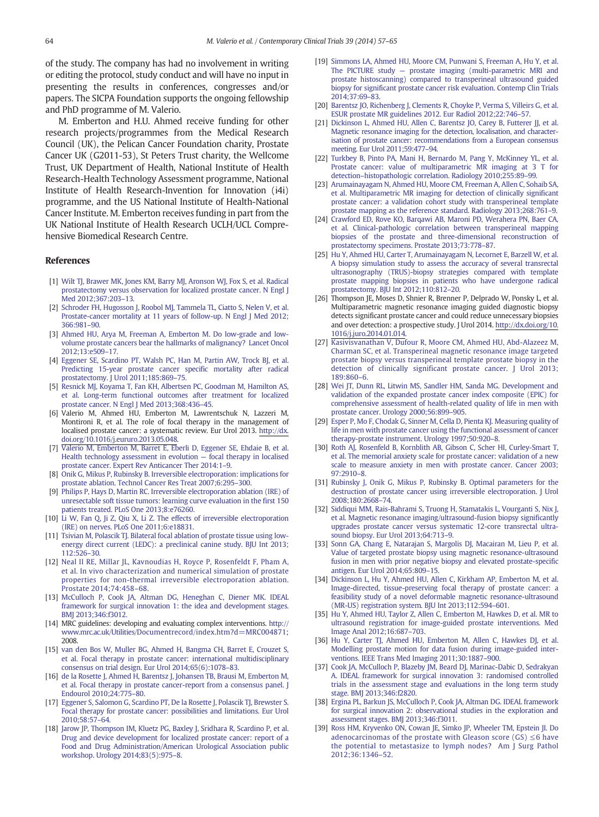<span id="page-7-0"></span>of the study. The company has had no involvement in writing or editing the protocol, study conduct and will have no input in presenting the results in conferences, congresses and/or papers. The SICPA Foundation supports the ongoing fellowship and PhD programme of M. Valerio.

M. Emberton and H.U. Ahmed receive funding for other research projects/programmes from the Medical Research Council (UK), the Pelican Cancer Foundation charity, Prostate Cancer UK (G2011-53), St Peters Trust charity, the Wellcome Trust, UK Department of Health, National Institute of Health Research-Health Technology Assessment programme, National Institute of Health Research-Invention for Innovation (i4i) programme, and the US National Institute of Health-National Cancer Institute. M. Emberton receives funding in part from the UK National Institute of Health Research UCLH/UCL Comprehensive Biomedical Research Centre.

#### References

- [1] [Wilt TJ, Brawer MK, Jones KM, Barry MJ, Aronson WJ, Fox S, et al. Radical](http://refhub.elsevier.com/S1551-7144(14)00115-3/rf0005) [prostatectomy versus observation for localized prostate cancer. N Engl J](http://refhub.elsevier.com/S1551-7144(14)00115-3/rf0005) [Med 2012;367:203](http://refhub.elsevier.com/S1551-7144(14)00115-3/rf0005)–13.
- [2] [Schroder FH, Hugosson J, Roobol MJ, Tammela TL, Ciatto S, Nelen V, et al.](http://refhub.elsevier.com/S1551-7144(14)00115-3/rf0010) [Prostate-cancer mortality at 11 years of follow-up. N Engl J Med 2012;](http://refhub.elsevier.com/S1551-7144(14)00115-3/rf0010) [366:981](http://refhub.elsevier.com/S1551-7144(14)00115-3/rf0010)–90.
- [3] [Ahmed HU, Arya M, Freeman A, Emberton M. Do low-grade and low](http://refhub.elsevier.com/S1551-7144(14)00115-3/rf0015)[volume prostate cancers bear the hallmarks of malignancy? Lancet Oncol](http://refhub.elsevier.com/S1551-7144(14)00115-3/rf0015) [2012;13:e509](http://refhub.elsevier.com/S1551-7144(14)00115-3/rf0015)–17.
- [4] [Eggener SE, Scardino PT, Walsh PC, Han M, Partin AW, Trock BJ, et al.](http://refhub.elsevier.com/S1551-7144(14)00115-3/rf0020) [Predicting 15-year prostate cancer specific mortality after radical](http://refhub.elsevier.com/S1551-7144(14)00115-3/rf0020) [prostatectomy. J Urol 2011;185:869](http://refhub.elsevier.com/S1551-7144(14)00115-3/rf0020)–75.
- [5] [Resnick MJ, Koyama T, Fan KH, Albertsen PC, Goodman M, Hamilton AS,](http://refhub.elsevier.com/S1551-7144(14)00115-3/rf0025) [et al. Long-term functional outcomes after treatment for localized](http://refhub.elsevier.com/S1551-7144(14)00115-3/rf0025) [prostate cancer. N Engl J Med 2013;368:436](http://refhub.elsevier.com/S1551-7144(14)00115-3/rf0025)–45.
- [6] Valerio M, Ahmed HU, Emberton M, Lawrentschuk N, Lazzeri M, Montironi R, et al. The role of focal therapy in the management of localised prostate cancer: a systematic review. Eur Urol 2013. [http://dx.](http://dx.doi.org/10.1016/j.eururo.2013.05.048) [doi.org/10.1016/j.eururo.2013.05.048.](http://dx.doi.org/10.1016/j.eururo.2013.05.048)
- [7] [Valerio M, Emberton M, Barret E, Eberli D, Eggener SE, Ehdaie B, et al.](http://refhub.elsevier.com/S1551-7144(14)00115-3/rf0210) [Health technology assessment in evolution](http://refhub.elsevier.com/S1551-7144(14)00115-3/rf0210) — focal therapy in localised [prostate cancer. Expert Rev Anticancer Ther 2014:1](http://refhub.elsevier.com/S1551-7144(14)00115-3/rf0210)–9.
- $\hat{B}$  [Onik G, Mikus P, Rubinsky B. Irreversible electroporation: implications for](http://refhub.elsevier.com/S1551-7144(14)00115-3/rf0030) [prostate ablation. Technol Cancer Res Treat 2007;6:295](http://refhub.elsevier.com/S1551-7144(14)00115-3/rf0030)–300.
- [9] [Philips P, Hays D, Martin RC. Irreversible electroporation ablation \(IRE\) of](http://refhub.elsevier.com/S1551-7144(14)00115-3/rf0035) [unresectable soft tissue tumors: learning curve evaluation in the first 150](http://refhub.elsevier.com/S1551-7144(14)00115-3/rf0035) [patients treated. PLoS One 2013;8:e76260.](http://refhub.elsevier.com/S1551-7144(14)00115-3/rf0035)
- [10] [Li W, Fan Q, Ji Z, Qiu X, Li Z. The effects of irreversible electroporation](http://refhub.elsevier.com/S1551-7144(14)00115-3/rf0040) [\(IRE\) on nerves. PLoS One 2011;6:e18831.](http://refhub.elsevier.com/S1551-7144(14)00115-3/rf0040)
- [11] [Tsivian M, Polascik TJ. Bilateral focal ablation of prostate tissue using low](http://refhub.elsevier.com/S1551-7144(14)00115-3/rf0045)[energy direct current \(LEDC\): a preclinical canine study. BJU Int 2013;](http://refhub.elsevier.com/S1551-7144(14)00115-3/rf0045) [112:526](http://refhub.elsevier.com/S1551-7144(14)00115-3/rf0045)–30.
- [12] Neal II RE, Millar IL, Kavnoudias H, Royce P, Rosenfeldt F, Pham A, [et al. In vivo characterization and numerical simulation of prostate](http://refhub.elsevier.com/S1551-7144(14)00115-3/rf0050) [properties for non-thermal irreversible electroporation ablation.](http://refhub.elsevier.com/S1551-7144(14)00115-3/rf0050) [Prostate 2014;74:458](http://refhub.elsevier.com/S1551-7144(14)00115-3/rf0050)–68.
- [13] McCulloch P, Cook JA, Altman DG, Heneghan C, Diener MK, IDEAL [framework for surgical innovation 1: the idea and development stages.](http://refhub.elsevier.com/S1551-7144(14)00115-3/rf0055) [BMJ 2013;346:f3012.](http://refhub.elsevier.com/S1551-7144(14)00115-3/rf0055)
- [14] MRC guidelines: developing and evaluating complex interventions. [http://](http://www.mrc.ac.uk/Utilities/Documentrecord/index.htm?d=MRC004871) [www.mrc.ac.uk/Utilities/Documentrecord/index.htm?d=MRC004871](http://www.mrc.ac.uk/Utilities/Documentrecord/index.htm?d=MRC004871); 2008.
- [15] [van den Bos W, Muller BG, Ahmed H, Bangma CH, Barret E, Crouzet S,](http://refhub.elsevier.com/S1551-7144(14)00115-3/rf0220) [et al. Focal therapy in prostate cancer: international multidisciplinary](http://refhub.elsevier.com/S1551-7144(14)00115-3/rf0220) [consensus on trial design. Eur Urol 2014;65\(6\):1078](http://refhub.elsevier.com/S1551-7144(14)00115-3/rf0220)–83.
- [16] [de la Rosette J, Ahmed H, Barentsz J, Johansen TB, Brausi M, Emberton M,](http://refhub.elsevier.com/S1551-7144(14)00115-3/rf0060) [et al. Focal therapy in prostate cancer-report from a consensus panel. J](http://refhub.elsevier.com/S1551-7144(14)00115-3/rf0060) [Endourol 2010;24:775](http://refhub.elsevier.com/S1551-7144(14)00115-3/rf0060)–80.
- [17] [Eggener S, Salomon G, Scardino PT, De la Rosette J, Polascik TJ, Brewster S.](http://refhub.elsevier.com/S1551-7144(14)00115-3/rf0065) [Focal therapy for prostate cancer: possibilities and limitations. Eur Urol](http://refhub.elsevier.com/S1551-7144(14)00115-3/rf0065) [2010;58:57](http://refhub.elsevier.com/S1551-7144(14)00115-3/rf0065)–64.
- [18] [Jarow JP, Thompson IM, Kluetz PG, Baxley J, Sridhara R, Scardino P, et al.](http://refhub.elsevier.com/S1551-7144(14)00115-3/rf0225) [Drug and device development for localized prostate cancer: report of a](http://refhub.elsevier.com/S1551-7144(14)00115-3/rf0225) [Food and Drug Administration/American Urological Association public](http://refhub.elsevier.com/S1551-7144(14)00115-3/rf0225) [workshop. Urology 2014;83\(5\):975](http://refhub.elsevier.com/S1551-7144(14)00115-3/rf0225)–8.
- [19] [Simmons LA, Ahmed HU, Moore CM, Punwani S, Freeman A, Hu Y, et al.](http://refhub.elsevier.com/S1551-7144(14)00115-3/rf0070) The PICTURE study — [prostate imaging \(multi-parametric MRI and](http://refhub.elsevier.com/S1551-7144(14)00115-3/rf0070) [prostate histoscanning\) compared to transperineal ultrasound guided](http://refhub.elsevier.com/S1551-7144(14)00115-3/rf0070) [biopsy for significant prostate cancer risk evaluation. Contemp Clin Trials](http://refhub.elsevier.com/S1551-7144(14)00115-3/rf0070) [2014;37:69](http://refhub.elsevier.com/S1551-7144(14)00115-3/rf0070)–83.
- [20] [Barentsz JO, Richenberg J, Clements R, Choyke P, Verma S, Villeirs G, et al.](http://refhub.elsevier.com/S1551-7144(14)00115-3/rf0075) [ESUR prostate MR guidelines 2012. Eur Radiol 2012;22:746](http://refhub.elsevier.com/S1551-7144(14)00115-3/rf0075)–57.
- [21] [Dickinson L, Ahmed HU, Allen C, Barentsz JO, Carey B, Futterer JJ, et al.](http://refhub.elsevier.com/S1551-7144(14)00115-3/rf0080) [Magnetic resonance imaging for the detection, localisation, and character](http://refhub.elsevier.com/S1551-7144(14)00115-3/rf0080)[isation of prostate cancer: recommendations from a European consensus](http://refhub.elsevier.com/S1551-7144(14)00115-3/rf0080) [meeting. Eur Urol 2011;59:477](http://refhub.elsevier.com/S1551-7144(14)00115-3/rf0080)–94.
- [22] [Turkbey B, Pinto PA, Mani H, Bernardo M, Pang Y, McKinney YL, et al.](http://refhub.elsevier.com/S1551-7144(14)00115-3/rf0085) [Prostate cancer: value of multiparametric MR imaging at 3 T for](http://refhub.elsevier.com/S1551-7144(14)00115-3/rf0085) detection–[histopathologic correlation. Radiology 2010;255:89](http://refhub.elsevier.com/S1551-7144(14)00115-3/rf0085)–99.
- [23] [Arumainayagam N, Ahmed HU, Moore CM, Freeman A, Allen C, Sohaib SA,](http://refhub.elsevier.com/S1551-7144(14)00115-3/rf0090) [et al. Multiparametric MR imaging for detection of clinically significant](http://refhub.elsevier.com/S1551-7144(14)00115-3/rf0090) [prostate cancer: a validation cohort study with transperineal template](http://refhub.elsevier.com/S1551-7144(14)00115-3/rf0090) [prostate mapping as the reference standard. Radiology 2013;268:761](http://refhub.elsevier.com/S1551-7144(14)00115-3/rf0090)–9.
- [24] [Crawford ED, Rove KO, Barqawi AB, Maroni PD, Werahera PN, Baer CA,](http://refhub.elsevier.com/S1551-7144(14)00115-3/rf0095) [et al. Clinical-pathologic correlation between transperineal mapping](http://refhub.elsevier.com/S1551-7144(14)00115-3/rf0095) [biopsies of the prostate and three-dimensional reconstruction of](http://refhub.elsevier.com/S1551-7144(14)00115-3/rf0095) [prostatectomy specimens. Prostate 2013;73:778](http://refhub.elsevier.com/S1551-7144(14)00115-3/rf0095)–87.
- [25] [Hu Y, Ahmed HU, Carter T, Arumainayagam N, Lecornet E, Barzell W, et al.](http://refhub.elsevier.com/S1551-7144(14)00115-3/rf0100) [A biopsy simulation study to assess the accuracy of several transrectal](http://refhub.elsevier.com/S1551-7144(14)00115-3/rf0100) [ultrasonography \(TRUS\)-biopsy strategies compared with template](http://refhub.elsevier.com/S1551-7144(14)00115-3/rf0100) [prostate mapping biopsies in patients who have undergone radical](http://refhub.elsevier.com/S1551-7144(14)00115-3/rf0100) [prostatectomy. BJU Int 2012;110:812](http://refhub.elsevier.com/S1551-7144(14)00115-3/rf0100)–20.
- [26] Thompson JE, Moses D, Shnier R, Brenner P, Delprado W, Ponsky L, et al. Multiparametric magnetic resonance imaging guided diagnostic biopsy detects significant prostate cancer and could reduce unnecessary biopsies and over detection: a prospective study. J Urol 2014. [http://dx.doi.org/10.](http://dx.doi.org/10.1016/j.juro.2014.01.014) [1016/j.juro.2014.01.014](http://dx.doi.org/10.1016/j.juro.2014.01.014).
- [27] [Kasivisvanathan V, Dufour R, Moore CM, Ahmed HU, Abd-Alazeez M,](http://refhub.elsevier.com/S1551-7144(14)00115-3/rf0110) [Charman SC, et al. Transperineal magnetic resonance image targeted](http://refhub.elsevier.com/S1551-7144(14)00115-3/rf0110) [prostate biopsy versus transperineal template prostate biopsy in the](http://refhub.elsevier.com/S1551-7144(14)00115-3/rf0110) [detection of clinically significant prostate cancer. J Urol 2013;](http://refhub.elsevier.com/S1551-7144(14)00115-3/rf0110) [189:860](http://refhub.elsevier.com/S1551-7144(14)00115-3/rf0110)–6.
- [28] [Wei JT, Dunn RL, Litwin MS, Sandler HM, Sanda MG. Development and](http://refhub.elsevier.com/S1551-7144(14)00115-3/rf0115) [validation of the expanded prostate cancer index composite \(EPIC\) for](http://refhub.elsevier.com/S1551-7144(14)00115-3/rf0115) [comprehensive assessment of health-related quality of life in men with](http://refhub.elsevier.com/S1551-7144(14)00115-3/rf0115) [prostate cancer. Urology 2000;56:899](http://refhub.elsevier.com/S1551-7144(14)00115-3/rf0115)–905.
- [29] [Esper P, Mo F, Chodak G, Sinner M, Cella D, Pienta KJ. Measuring quality of](http://refhub.elsevier.com/S1551-7144(14)00115-3/rf0120) [life in men with prostate cancer using the functional assessment of cancer](http://refhub.elsevier.com/S1551-7144(14)00115-3/rf0120) [therapy-prostate instrument. Urology 1997;50:920](http://refhub.elsevier.com/S1551-7144(14)00115-3/rf0120)–8.
- [30] [Roth AJ, Rosenfeld B, Kornblith AB, Gibson C, Scher HI, Curley-Smart T,](http://refhub.elsevier.com/S1551-7144(14)00115-3/rf0125) [et al. The memorial anxiety scale for prostate cancer: validation of a new](http://refhub.elsevier.com/S1551-7144(14)00115-3/rf0125) [scale to measure anxiety in men with prostate cancer. Cancer 2003;](http://refhub.elsevier.com/S1551-7144(14)00115-3/rf0125) [97:2910](http://refhub.elsevier.com/S1551-7144(14)00115-3/rf0125)–8.
- [31] [Rubinsky J, Onik G, Mikus P, Rubinsky B. Optimal parameters for the](http://refhub.elsevier.com/S1551-7144(14)00115-3/rf0130) [destruction of prostate cancer using irreversible electroporation. J Urol](http://refhub.elsevier.com/S1551-7144(14)00115-3/rf0130) [2008;180:2668](http://refhub.elsevier.com/S1551-7144(14)00115-3/rf0130)–74.
- [32] [Siddiqui MM, Rais-Bahrami S, Truong H, Stamatakis L, Vourganti S, Nix J,](http://refhub.elsevier.com/S1551-7144(14)00115-3/rf0135) [et al. Magnetic resonance imaging/ultrasound-fusion biopsy significantly](http://refhub.elsevier.com/S1551-7144(14)00115-3/rf0135) [upgrades prostate cancer versus systematic 12-core transrectal ultra](http://refhub.elsevier.com/S1551-7144(14)00115-3/rf0135)[sound biopsy. Eur Urol 2013;64:713](http://refhub.elsevier.com/S1551-7144(14)00115-3/rf0135)–9.
- [33] [Sonn GA, Chang E, Natarajan S, Margolis DJ, Macairan M, Lieu P, et al.](http://refhub.elsevier.com/S1551-7144(14)00115-3/rf0140) [Value of targeted prostate biopsy using magnetic resonance-ultrasound](http://refhub.elsevier.com/S1551-7144(14)00115-3/rf0140) [fusion in men with prior negative biopsy and elevated prostate-specific](http://refhub.elsevier.com/S1551-7144(14)00115-3/rf0140) [antigen. Eur Urol 2014;65:809](http://refhub.elsevier.com/S1551-7144(14)00115-3/rf0140)–15.
- [34] [Dickinson L, Hu Y, Ahmed HU, Allen C, Kirkham AP, Emberton M, et al.](http://refhub.elsevier.com/S1551-7144(14)00115-3/rf0145) [Image-directed, tissue-preserving focal therapy of prostate cancer: a](http://refhub.elsevier.com/S1551-7144(14)00115-3/rf0145) [feasibility study of a novel deformable magnetic resonance-ultrasound](http://refhub.elsevier.com/S1551-7144(14)00115-3/rf0145) [\(MR-US\) registration system. BJU Int 2013;112:594](http://refhub.elsevier.com/S1551-7144(14)00115-3/rf0145)–601.
- [35] [Hu Y, Ahmed HU, Taylor Z, Allen C, Emberton M, Hawkes D, et al. MR to](http://refhub.elsevier.com/S1551-7144(14)00115-3/rf0150) [ultrasound registration for image-guided prostate interventions. Med](http://refhub.elsevier.com/S1551-7144(14)00115-3/rf0150) [Image Anal 2012;16:687](http://refhub.elsevier.com/S1551-7144(14)00115-3/rf0150)–703.
- [36] [Hu Y, Carter TJ, Ahmed HU, Emberton M, Allen C, Hawkes DJ, et al.](http://refhub.elsevier.com/S1551-7144(14)00115-3/rf0155) [Modelling prostate motion for data fusion during image-guided inter](http://refhub.elsevier.com/S1551-7144(14)00115-3/rf0155)[ventions. IEEE Trans Med Imaging 2011;30:1887](http://refhub.elsevier.com/S1551-7144(14)00115-3/rf0155)–900.
- [37] [Cook JA, McCulloch P, Blazeby JM, Beard DJ, Marinac-Dabic D, Sedrakyan](http://refhub.elsevier.com/S1551-7144(14)00115-3/rf0160) [A. IDEAL framework for surgical innovation 3: randomised controlled](http://refhub.elsevier.com/S1551-7144(14)00115-3/rf0160) [trials in the assessment stage and evaluations in the long term study](http://refhub.elsevier.com/S1551-7144(14)00115-3/rf0160) [stage. BMJ 2013;346:f2820.](http://refhub.elsevier.com/S1551-7144(14)00115-3/rf0160)
- [38] [Ergina PL, Barkun JS, McCulloch P, Cook JA, Altman DG. IDEAL framework](http://refhub.elsevier.com/S1551-7144(14)00115-3/rf0165) [for surgical innovation 2: observational studies in the exploration and](http://refhub.elsevier.com/S1551-7144(14)00115-3/rf0165) [assessment stages. BMJ 2013;346:f3011.](http://refhub.elsevier.com/S1551-7144(14)00115-3/rf0165)
- [39] [Ross HM, Kryvenko ON, Cowan JE, Simko JP, Wheeler TM, Epstein JI. Do](http://refhub.elsevier.com/S1551-7144(14)00115-3/rf0170) adenocarcinomas of the prostate with Gleason score  $(GS) \leq 6$  have [the potential to metastasize to lymph nodes? Am J Surg Pathol](http://refhub.elsevier.com/S1551-7144(14)00115-3/rf0170) [2012;36:1346](http://refhub.elsevier.com/S1551-7144(14)00115-3/rf0170)–52.